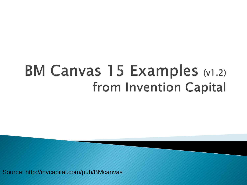# **BM Canvas 15 Examples (v1.2)** from Invention Capital

Source: http://invcapital.com/pub/BMcanvas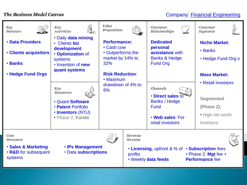## Company: Financial Engineering

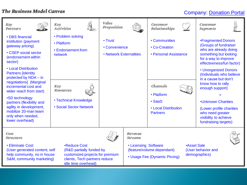# Company: Donation Portal

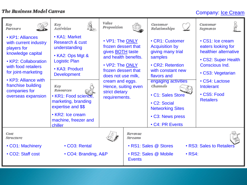# Company: Ice Cream

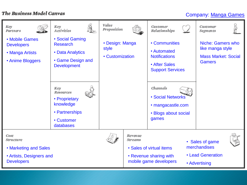# Company: Manga Games

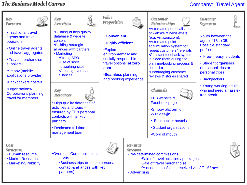# Company: Travel Agent

| Key<br><b>Partners</b><br>• Traditional travel<br>agents and travel<br>operators<br>• Online travel agents<br>and travel aggregators<br>• Travel merchandise<br>suppliers<br>•Smoov (mobile<br>applications provider)<br><b>•Backpackers hostels</b><br><b>•Organisations/</b><br><b>Corporations planning</b><br>travel for members | Key<br><b>Activities</b><br><b>.</b> Building of high quality<br>database & website<br>content<br><b>.Building strategic</b><br>alliances with partners<br>• Marketing<br><b>Strong SEO</b><br>•Use of social<br>networking sites<br>•Creating overseas<br>alliances<br>Key<br><b>Resources</b><br>• High quality database of<br>activities and tours -<br>ensured by FB's personal<br>contacts with all key<br>partners<br>• Dedicated full-time<br>management team | Value<br>Proposition<br><b>• Convenient</b><br>. Highly efficient<br>•Explore<br>environmentally and<br>socially responsible<br>travel options at zero<br>cost<br><b>Seamless planning</b> | and booking experience                     | Customer<br>Relationships<br>•Automated personalisation<br>of website & newsletters<br>(e.g. Amazon.com).<br>•Automated point-<br>accumulation system for<br>repeat customers/ referrals<br>•Constant feedback system<br>in place (both during the<br>planning/booking process &<br>post-trip)<br>•Encouraging customer<br>reviews & stories shared<br>Channels<br>• FB website &<br>Facebook page<br>•Smoov platform on<br>Wireless@SG<br>• Backpacker hostels<br>• Student organisations<br>•Word of mouth | <b>Customer</b><br><b>Segments</b><br>Youth between the<br>ages of 18 to 35.<br><b>Possible standard</b><br>profiles:<br>• 'Free-n-easy' students<br>• Student organisers<br>(for school trips or<br>personal trips)<br>• Backpackers<br>• Young working adults<br>who just need a hassle-<br>free break |
|--------------------------------------------------------------------------------------------------------------------------------------------------------------------------------------------------------------------------------------------------------------------------------------------------------------------------------------|----------------------------------------------------------------------------------------------------------------------------------------------------------------------------------------------------------------------------------------------------------------------------------------------------------------------------------------------------------------------------------------------------------------------------------------------------------------------|--------------------------------------------------------------------------------------------------------------------------------------------------------------------------------------------|--------------------------------------------|--------------------------------------------------------------------------------------------------------------------------------------------------------------------------------------------------------------------------------------------------------------------------------------------------------------------------------------------------------------------------------------------------------------------------------------------------------------------------------------------------------------|----------------------------------------------------------------------------------------------------------------------------------------------------------------------------------------------------------------------------------------------------------------------------------------------------------|
| Cost<br>Structure<br>• Human resource<br>• Market Research<br>• Marketing/Publicity                                                                                                                                                                                                                                                  | <b>.Overseas Communications</b><br>•Calls<br>•Business trips (to make personal<br>contact & alliances with key<br>partners)                                                                                                                                                                                                                                                                                                                                          |                                                                                                                                                                                            | Revenue<br><b>Streams</b><br>• Advertising | •Pre-determined commissions<br>•Sale of travel activities / packages<br>•Sale of travel merchandise<br>.% of donations/sales received via Gift of Love                                                                                                                                                                                                                                                                                                                                                       |                                                                                                                                                                                                                                                                                                          |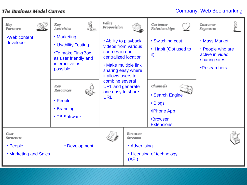## Company: Web Bookmarking

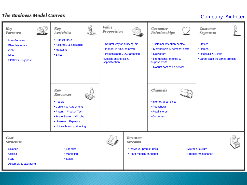## Company: Air Filter

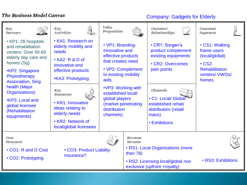# Company: Gadgets for Elderly

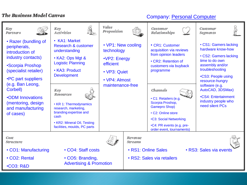# Company: Personal Computer

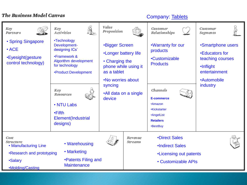#### Company: Tablets

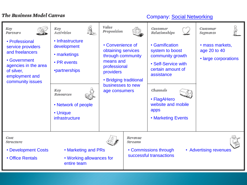# Company: Social Networking

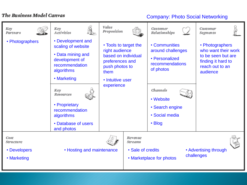# Company: Photo Social Networking

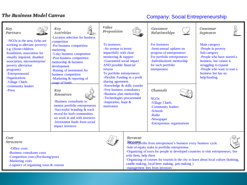# Company: Social Entrepreneurship



-Business consultants costs

-Competition costs (Pre/during/post)

-Marketing costs

-Logistics of organizing tours & courses

-Sale of equity stake in portfolio entrepreneur

-Organizing of tours for people in developed countries to visit entrepreneurs, live with them, help them

-Organizing of courses for tourists in the city to learn about local culture (knitting, candle-making, local-beer making, jam-making ) -management fees from investors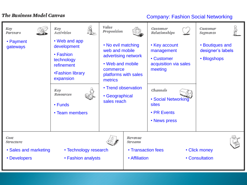# Company: Fashion Social Networking